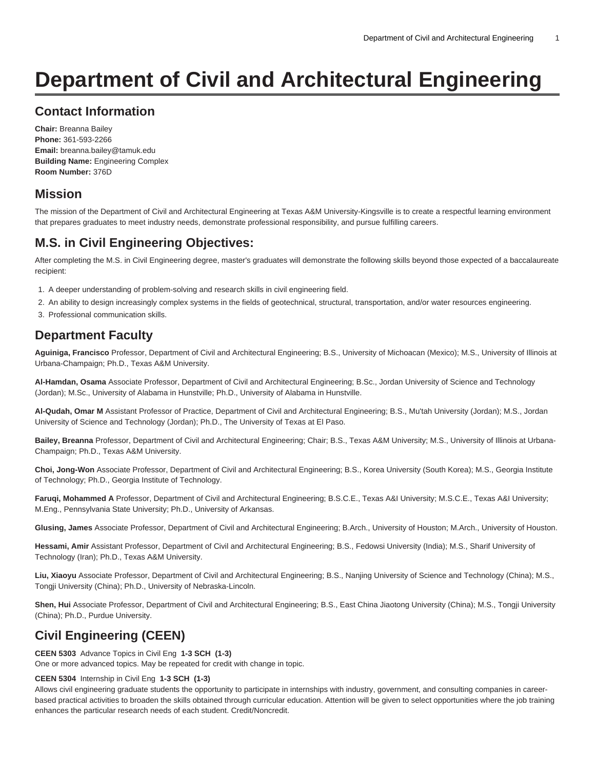# **Department of Civil and Architectural Engineering**

# **Contact Information**

**Chair:** Breanna Bailey **Phone:** 361-593-2266 **Email:** [breanna.bailey@tamuk.edu](mailto:breanna.bailey@tamuk.edu) **Building Name:** Engineering Complex **Room Number:** 376D

# **Mission**

The mission of the Department of Civil and Architectural Engineering at Texas A&M University-Kingsville is to create a respectful learning environment that prepares graduates to meet industry needs, demonstrate professional responsibility, and pursue fulfilling careers.

# **M.S. in Civil Engineering Objectives:**

After completing the M.S. in Civil Engineering degree, master's graduates will demonstrate the following skills beyond those expected of a baccalaureate recipient:

- 1. A deeper understanding of problem-solving and research skills in civil engineering field.
- 2. An ability to design increasingly complex systems in the fields of geotechnical, structural, transportation, and/or water resources engineering.
- 3. Professional communication skills.

# **Department Faculty**

**Aguiniga, Francisco** Professor, Department of Civil and Architectural Engineering; B.S., University of Michoacan (Mexico); M.S., University of Illinois at Urbana-Champaign; Ph.D., Texas A&M University.

**Al-Hamdan, Osama** Associate Professor, Department of Civil and Architectural Engineering; B.Sc., Jordan University of Science and Technology (Jordan); M.Sc., University of Alabama in Hunstville; Ph.D., University of Alabama in Hunstville.

**Al-Qudah, Omar M** Assistant Professor of Practice, Department of Civil and Architectural Engineering; B.S., Mu'tah University (Jordan); M.S., Jordan University of Science and Technology (Jordan); Ph.D., The University of Texas at El Paso.

**Bailey, Breanna** Professor, Department of Civil and Architectural Engineering; Chair; B.S., Texas A&M University; M.S., University of Illinois at Urbana-Champaign; Ph.D., Texas A&M University.

**Choi, Jong-Won** Associate Professor, Department of Civil and Architectural Engineering; B.S., Korea University (South Korea); M.S., Georgia Institute of Technology; Ph.D., Georgia Institute of Technology.

**Faruqi, Mohammed A** Professor, Department of Civil and Architectural Engineering; B.S.C.E., Texas A&I University; M.S.C.E., Texas A&I University; M.Eng., Pennsylvania State University; Ph.D., University of Arkansas.

**Glusing, James** Associate Professor, Department of Civil and Architectural Engineering; B.Arch., University of Houston; M.Arch., University of Houston.

**Hessami, Amir** Assistant Professor, Department of Civil and Architectural Engineering; B.S., Fedowsi University (India); M.S., Sharif University of Technology (Iran); Ph.D., Texas A&M University.

**Liu, Xiaoyu** Associate Professor, Department of Civil and Architectural Engineering; B.S., Nanjing University of Science and Technology (China); M.S., Tongji University (China); Ph.D., University of Nebraska-Lincoln.

**Shen, Hui** Associate Professor, Department of Civil and Architectural Engineering; B.S., East China Jiaotong University (China); M.S., Tongji University (China); Ph.D., Purdue University.

# **Civil Engineering (CEEN)**

**CEEN 5303** Advance Topics in Civil Eng **1-3 SCH (1-3)** One or more advanced topics. May be repeated for credit with change in topic.

### **CEEN 5304** Internship in Civil Eng **1-3 SCH (1-3)**

Allows civil engineering graduate students the opportunity to participate in internships with industry, government, and consulting companies in careerbased practical activities to broaden the skills obtained through curricular education. Attention will be given to select opportunities where the job training enhances the particular research needs of each student. Credit/Noncredit.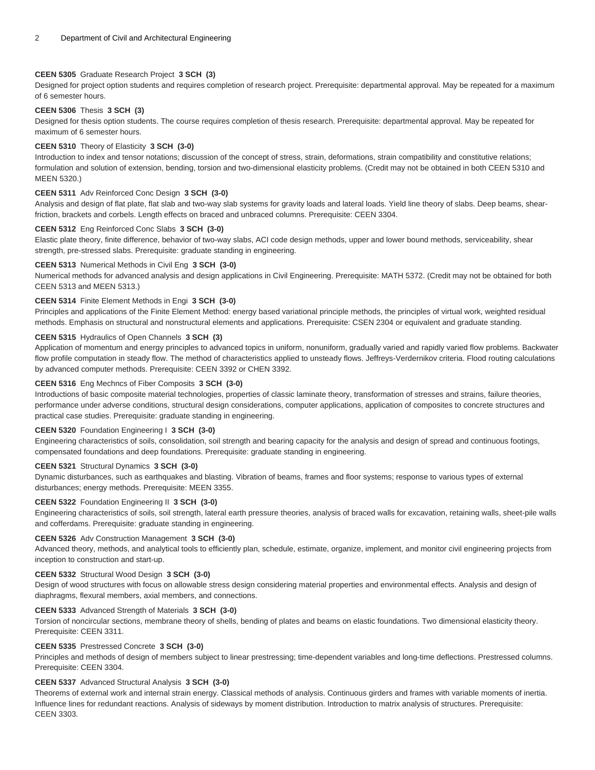#### **CEEN 5305** Graduate Research Project **3 SCH (3)**

Designed for project option students and requires completion of research project. Prerequisite: departmental approval. May be repeated for a maximum of 6 semester hours.

#### **CEEN 5306** Thesis **3 SCH (3)**

Designed for thesis option students. The course requires completion of thesis research. Prerequisite: departmental approval. May be repeated for maximum of 6 semester hours.

#### **CEEN 5310** Theory of Elasticity **3 SCH (3-0)**

Introduction to index and tensor notations; discussion of the concept of stress, strain, deformations, strain compatibility and constitutive relations; formulation and solution of extension, bending, torsion and two-dimensional elasticity problems. (Credit may not be obtained in both CEEN 5310 and MEEN 5320.)

### **CEEN 5311** Adv Reinforced Conc Design **3 SCH (3-0)**

Analysis and design of flat plate, flat slab and two-way slab systems for gravity loads and lateral loads. Yield line theory of slabs. Deep beams, shearfriction, brackets and corbels. Length effects on braced and unbraced columns. Prerequisite: CEEN 3304.

#### **CEEN 5312** Eng Reinforced Conc Slabs **3 SCH (3-0)**

Elastic plate theory, finite difference, behavior of two-way slabs, ACI code design methods, upper and lower bound methods, serviceability, shear strength, pre-stressed slabs. Prerequisite: graduate standing in engineering.

#### **CEEN 5313** Numerical Methods in Civil Eng **3 SCH (3-0)**

Numerical methods for advanced analysis and design applications in Civil Engineering. Prerequisite: MATH 5372. (Credit may not be obtained for both CEEN 5313 and MEEN 5313.)

#### **CEEN 5314** Finite Element Methods in Engi **3 SCH (3-0)**

Principles and applications of the Finite Element Method: energy based variational principle methods, the principles of virtual work, weighted residual methods. Emphasis on structural and nonstructural elements and applications. Prerequisite: CSEN 2304 or equivalent and graduate standing.

#### **CEEN 5315** Hydraulics of Open Channels **3 SCH (3)**

Application of momentum and energy principles to advanced topics in uniform, nonuniform, gradually varied and rapidly varied flow problems. Backwater flow profile computation in steady flow. The method of characteristics applied to unsteady flows. Jeffreys-Verdernikov criteria. Flood routing calculations by advanced computer methods. Prerequisite: CEEN 3392 or CHEN 3392.

#### **CEEN 5316** Eng Mechncs of Fiber Composits **3 SCH (3-0)**

Introductions of basic composite material technologies, properties of classic laminate theory, transformation of stresses and strains, failure theories, performance under adverse conditions, structural design considerations, computer applications, application of composites to concrete structures and practical case studies. Prerequisite: graduate standing in engineering.

#### **CEEN 5320** Foundation Engineering I **3 SCH (3-0)**

Engineering characteristics of soils, consolidation, soil strength and bearing capacity for the analysis and design of spread and continuous footings, compensated foundations and deep foundations. Prerequisite: graduate standing in engineering.

#### **CEEN 5321** Structural Dynamics **3 SCH (3-0)**

Dynamic disturbances, such as earthquakes and blasting. Vibration of beams, frames and floor systems; response to various types of external disturbances; energy methods. Prerequisite: MEEN 3355.

#### **CEEN 5322** Foundation Engineering II **3 SCH (3-0)**

Engineering characteristics of soils, soil strength, lateral earth pressure theories, analysis of braced walls for excavation, retaining walls, sheet-pile walls and cofferdams. Prerequisite: graduate standing in engineering.

#### **CEEN 5326** Adv Construction Management **3 SCH (3-0)**

Advanced theory, methods, and analytical tools to efficiently plan, schedule, estimate, organize, implement, and monitor civil engineering projects from inception to construction and start-up.

#### **CEEN 5332** Structural Wood Design **3 SCH (3-0)**

Design of wood structures with focus on allowable stress design considering material properties and environmental effects. Analysis and design of diaphragms, flexural members, axial members, and connections.

#### **CEEN 5333** Advanced Strength of Materials **3 SCH (3-0)**

Torsion of noncircular sections, membrane theory of shells, bending of plates and beams on elastic foundations. Two dimensional elasticity theory. Prerequisite: CEEN 3311.

#### **CEEN 5335** Prestressed Concrete **3 SCH (3-0)**

Principles and methods of design of members subject to linear prestressing; time-dependent variables and long-time deflections. Prestressed columns. Prerequisite: CEEN 3304.

#### **CEEN 5337** Advanced Structural Analysis **3 SCH (3-0)**

Theorems of external work and internal strain energy. Classical methods of analysis. Continuous girders and frames with variable moments of inertia. Influence lines for redundant reactions. Analysis of sideways by moment distribution. Introduction to matrix analysis of structures. Prerequisite: CEEN 3303.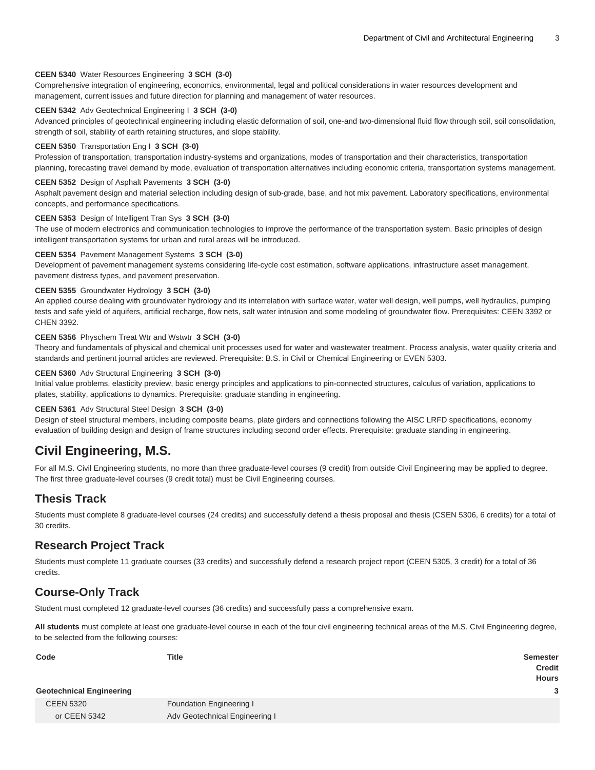#### **CEEN 5340** Water Resources Engineering **3 SCH (3-0)**

Comprehensive integration of engineering, economics, environmental, legal and political considerations in water resources development and management, current issues and future direction for planning and management of water resources.

#### **CEEN 5342** Adv Geotechnical Engineering I **3 SCH (3-0)**

Advanced principles of geotechnical engineering including elastic deformation of soil, one-and two-dimensional fluid flow through soil, soil consolidation, strength of soil, stability of earth retaining structures, and slope stability.

#### **CEEN 5350** Transportation Eng I **3 SCH (3-0)**

Profession of transportation, transportation industry-systems and organizations, modes of transportation and their characteristics, transportation planning, forecasting travel demand by mode, evaluation of transportation alternatives including economic criteria, transportation systems management.

#### **CEEN 5352** Design of Asphalt Pavements **3 SCH (3-0)**

Asphalt pavement design and material selection including design of sub-grade, base, and hot mix pavement. Laboratory specifications, environmental concepts, and performance specifications.

#### **CEEN 5353** Design of Intelligent Tran Sys **3 SCH (3-0)**

The use of modern electronics and communication technologies to improve the performance of the transportation system. Basic principles of design intelligent transportation systems for urban and rural areas will be introduced.

#### **CEEN 5354** Pavement Management Systems **3 SCH (3-0)**

Development of pavement management systems considering life-cycle cost estimation, software applications, infrastructure asset management, pavement distress types, and pavement preservation.

#### **CEEN 5355** Groundwater Hydrology **3 SCH (3-0)**

An applied course dealing with groundwater hydrology and its interrelation with surface water, water well design, well pumps, well hydraulics, pumping tests and safe yield of aquifers, artificial recharge, flow nets, salt water intrusion and some modeling of groundwater flow. Prerequisites: CEEN 3392 or CHEN 3392.

#### **CEEN 5356** Physchem Treat Wtr and Wstwtr **3 SCH (3-0)**

Theory and fundamentals of physical and chemical unit processes used for water and wastewater treatment. Process analysis, water quality criteria and standards and pertinent journal articles are reviewed. Prerequisite: B.S. in Civil or Chemical Engineering or EVEN 5303.

#### **CEEN 5360** Adv Structural Engineering **3 SCH (3-0)**

Initial value problems, elasticity preview, basic energy principles and applications to pin-connected structures, calculus of variation, applications to plates, stability, applications to dynamics. Prerequisite: graduate standing in engineering.

#### **CEEN 5361** Adv Structural Steel Design **3 SCH (3-0)**

Design of steel structural members, including composite beams, plate girders and connections following the AISC LRFD specifications, economy evaluation of building design and design of frame structures including second order effects. Prerequisite: graduate standing in engineering.

### **Civil Engineering, M.S.**

For all M.S. Civil Engineering students, no more than three graduate-level courses (9 credit) from outside Civil Engineering may be applied to degree. The first three graduate-level courses (9 credit total) must be Civil Engineering courses.

### **Thesis Track**

Students must complete 8 graduate-level courses (24 credits) and successfully defend a thesis proposal and thesis (CSEN 5306, 6 credits) for a total of 30 credits.

### **Research Project Track**

Students must complete 11 graduate courses (33 credits) and successfully defend a research project report (CEEN 5305, 3 credit) for a total of 36 credits.

## **Course-Only Track**

Student must completed 12 graduate-level courses (36 credits) and successfully pass a comprehensive exam.

**All students** must complete at least one graduate-level course in each of the four civil engineering technical areas of the M.S. Civil Engineering degree, to be selected from the following courses:

| Code                            | <b>Title</b>                   | <b>Semester</b> |
|---------------------------------|--------------------------------|-----------------|
|                                 |                                | <b>Credit</b>   |
|                                 |                                | <b>Hours</b>    |
| <b>Geotechnical Engineering</b> |                                | 3               |
| <b>CEEN 5320</b>                | Foundation Engineering I       |                 |
| or CEEN 5342                    | Adv Geotechnical Engineering I |                 |